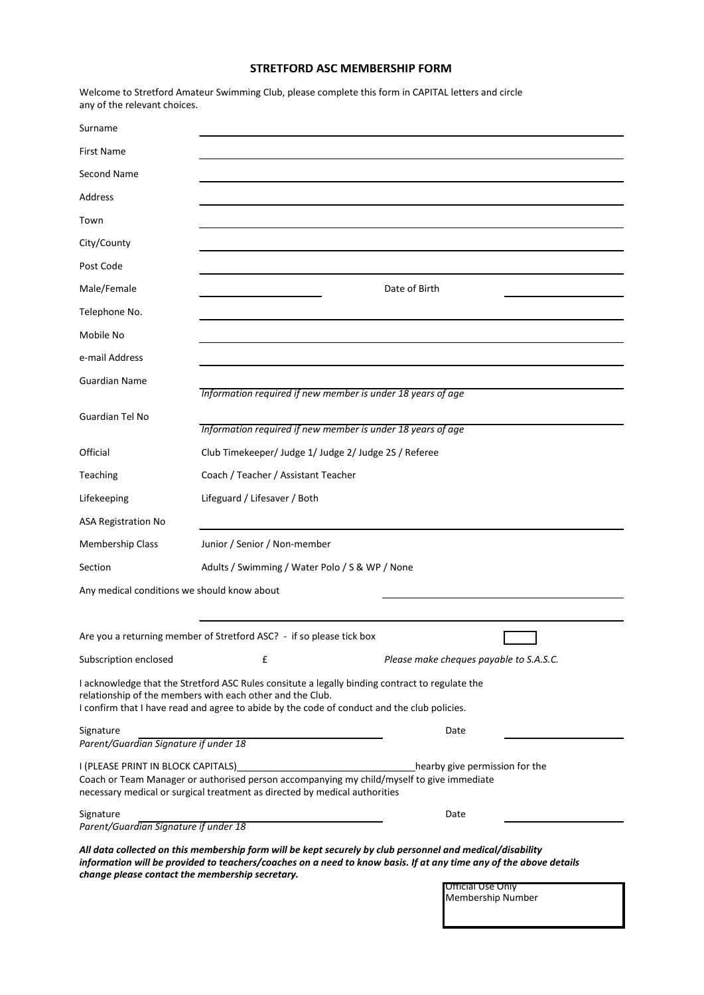## **STRETFORD ASC MEMBERSHIP FORM**

| any of the relevant choices.                       |                                                                                                                                                                                                                                                             |                                                                                                                   |  |  |  |  |
|----------------------------------------------------|-------------------------------------------------------------------------------------------------------------------------------------------------------------------------------------------------------------------------------------------------------------|-------------------------------------------------------------------------------------------------------------------|--|--|--|--|
| Surname                                            |                                                                                                                                                                                                                                                             |                                                                                                                   |  |  |  |  |
| <b>First Name</b>                                  |                                                                                                                                                                                                                                                             |                                                                                                                   |  |  |  |  |
| Second Name                                        |                                                                                                                                                                                                                                                             |                                                                                                                   |  |  |  |  |
| Address                                            |                                                                                                                                                                                                                                                             |                                                                                                                   |  |  |  |  |
| Town                                               |                                                                                                                                                                                                                                                             |                                                                                                                   |  |  |  |  |
| City/County                                        |                                                                                                                                                                                                                                                             |                                                                                                                   |  |  |  |  |
| Post Code                                          |                                                                                                                                                                                                                                                             |                                                                                                                   |  |  |  |  |
| Male/Female                                        | Date of Birth                                                                                                                                                                                                                                               |                                                                                                                   |  |  |  |  |
| Telephone No.                                      |                                                                                                                                                                                                                                                             |                                                                                                                   |  |  |  |  |
| Mobile No                                          |                                                                                                                                                                                                                                                             |                                                                                                                   |  |  |  |  |
| e-mail Address                                     |                                                                                                                                                                                                                                                             |                                                                                                                   |  |  |  |  |
| <b>Guardian Name</b>                               | Information required if new member is under 18 years of age                                                                                                                                                                                                 |                                                                                                                   |  |  |  |  |
| Guardian Tel No                                    | Information required if new member is under 18 years of age                                                                                                                                                                                                 |                                                                                                                   |  |  |  |  |
| Official                                           | Club Timekeeper/ Judge 1/ Judge 2/ Judge 2S / Referee                                                                                                                                                                                                       |                                                                                                                   |  |  |  |  |
| Teaching                                           | Coach / Teacher / Assistant Teacher                                                                                                                                                                                                                         |                                                                                                                   |  |  |  |  |
| Lifekeeping                                        | Lifeguard / Lifesaver / Both                                                                                                                                                                                                                                |                                                                                                                   |  |  |  |  |
| <b>ASA Registration No</b>                         |                                                                                                                                                                                                                                                             |                                                                                                                   |  |  |  |  |
| <b>Membership Class</b>                            | Junior / Senior / Non-member                                                                                                                                                                                                                                |                                                                                                                   |  |  |  |  |
| Section                                            | Adults / Swimming / Water Polo / S & WP / None                                                                                                                                                                                                              |                                                                                                                   |  |  |  |  |
| Any medical conditions we should know about        |                                                                                                                                                                                                                                                             |                                                                                                                   |  |  |  |  |
|                                                    |                                                                                                                                                                                                                                                             |                                                                                                                   |  |  |  |  |
|                                                    | Are you a returning member of Stretford ASC? - if so please tick box                                                                                                                                                                                        |                                                                                                                   |  |  |  |  |
| Subscription enclosed                              | £                                                                                                                                                                                                                                                           | Please make cheques payable to S.A.S.C.                                                                           |  |  |  |  |
|                                                    | I acknowledge that the Stretford ASC Rules consitute a legally binding contract to regulate the<br>relationship of the members with each other and the Club.<br>I confirm that I have read and agree to abide by the code of conduct and the club policies. |                                                                                                                   |  |  |  |  |
| Signature<br>Parent/Guardian Signature if under 18 |                                                                                                                                                                                                                                                             | Date                                                                                                              |  |  |  |  |
| I (PLEASE PRINT IN BLOCK CAPITALS)                 | Coach or Team Manager or authorised person accompanying my child/myself to give immediate<br>necessary medical or surgical treatment as directed by medical authorities                                                                                     | hearby give permission for the                                                                                    |  |  |  |  |
| Signature<br>Parent/Guardian Signature if under 18 |                                                                                                                                                                                                                                                             | Date                                                                                                              |  |  |  |  |
| change please contact the membership secretary.    | All data collected on this membership form will be kept securely by club personnel and medical/disability                                                                                                                                                   | information will be provided to teachers/coaches on a need to know basis. If at any time any of the above details |  |  |  |  |

Welcome to Stretford Amateur Swimming Club, please complete this form in CAPITAL letters and circle

Official Use Only Membership Number